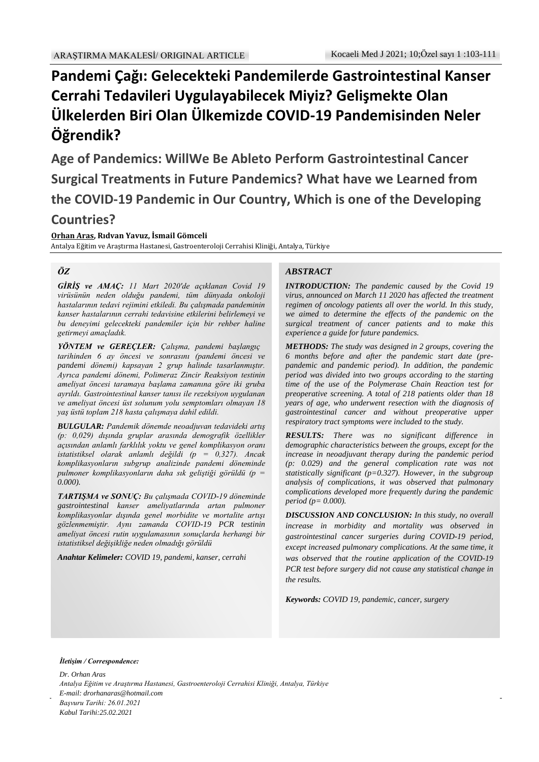# **Pandemi Çağı: Gelecekteki Pandemilerde Gastrointestinal Kanser Cerrahi Tedavileri Uygulayabilecek Miyiz? Gelişmekte Olan Ülkelerden Biri Olan Ülkemizde COVID-19 Pandemisinden Neler Öğrendik?**

**Age of Pandemics: WillWe Be Ableto Perform Gastrointestinal Cancer Surgical Treatments in Future Pandemics? What have we Learned from the COVID-19 Pandemic in Our Country, Which is one of the Developing Countries?**

**Orhan Aras, Rıdvan Yavuz, İsmail Gömceli** Antalya Eğitim ve Araştırma Hastanesi, Gastroenteroloji Cerrahisi Kliniği, Antalya, Türkiye

#### *ÖZ*

*GİRİŞ ve AMAÇ: 11 Mart 2020'de açıklanan Covid 19 virüsünün neden olduğu pandemi, tüm dünyada onkoloji hastalarının tedavi rejimini etkiledi. Bu çalışmada pandeminin kanser hastalarının cerrahi tedavisine etkilerini belirlemeyi ve bu deneyimi gelecekteki pandemiler için bir rehber haline getirmeyi amaçladık.*

*YÖNTEM ve GEREÇLER: Çalışma, pandemi başlangıç tarihinden 6 ay öncesi ve sonrasını (pandemi öncesi ve pandemi dönemi) kapsayan 2 grup halinde tasarlanmıştır. Ayrıca pandemi dönemi, Polimeraz Zincir Reaksiyon testinin ameliyat öncesi taramaya başlama zamanına göre iki gruba ayrıldı. Gastrointestinal kanser tanısı ile rezeksiyon uygulanan ve ameliyat öncesi üst solunum yolu semptomları olmayan 18 yaş üstü toplam 218 hasta çalışmaya dahil edildi.*

*BULGULAR: Pandemik dönemde neoadjuvan tedavideki artış (p: 0,029) dışında gruplar arasında demografik özellikler açısından anlamlı farklılık yoktu ve genel komplikasyon oranı istatistiksel olarak anlamlı değildi (p = 0,327). Ancak komplikasyonların subgrup analizinde pandemi döneminde pulmoner komplikasyonların daha sık geliştiği görüldü (p = 0.000).*

*TARTIŞMA ve SONUÇ: Bu çalışmada COVID-19 döneminde gastrointestinal kanser ameliyatlarında artan pulmoner komplikasyonlar dışında genel morbidite ve mortalite artışı gözlenmemiştir. Aynı zamanda COVID-19 PCR testinin ameliyat öncesi rutin uygulamasının sonuçlarda herhangi bir istatistiksel değişikliğe neden olmadığı görüldü*

*Anahtar Kelimeler: COVID 19, pandemi, kanser, cerrahi*

#### *ABSTRACT*

*INTRODUCTION: The pandemic caused by the Covid 19 virus, announced on March 11 2020 has affected the treatment regimen of oncology patients all over the world. In this study, we aimed to determine the effects of the pandemic on the surgical treatment of cancer patients and to make this experience a guide for future pandemics.* 

*METHODS: The study was designed in 2 groups, covering the 6 months before and after the pandemic start date (prepandemic and pandemic period). In addition, the pandemic period was divided into two groups according to the starting time of the use of the Polymerase Chain Reaction test for preoperative screening. A total of 218 patients older than 18 years of age, who underwent resection with the diagnosis of gastrointestinal cancer and without preoperative upper respiratory tract symptoms were included to the study.*

*RESULTS: There was no significant difference in demographic characteristics between the groups, except for the increase in neoadjuvant therapy during the pandemic period (p: 0.029) and the general complication rate was not statistically significant (p=0.327). However, in the subgroup analysis of complications, it was observed that pulmonary complications developed more frequently during the pandemic period (p= 0.000).* 

*DISCUSSION AND CONCLUSION: In this study, no overall increase in morbidity and mortality was observed in gastrointestinal cancer surgeries during COVID-19 period, except increased pulmonary complications. At the same time, it was observed that the routine application of the COVID-19 PCR test before surgery did not cause any statistical change in the results.*

*Keywords: COVID 19, pandemic, cancer, surgery*

#### *İletişim / Correspondence:*

ilya, Türkiye 2019 (Covid-19) occurred in 2019 (Covid-19) occurred in 2019 (Covid-19) occurred in 2019 (Covid-*Dr. Orhan Aras Antalya Eğitim ve Araştırma Hastanesi, Gastroenteroloji Cerrahisi Kliniği, Antalya, Türkiye E-mail: drorhanaras@hotmail.com Başvuru Tarihi: 26.01.2021 Kabul Tarihi:25.02.2021*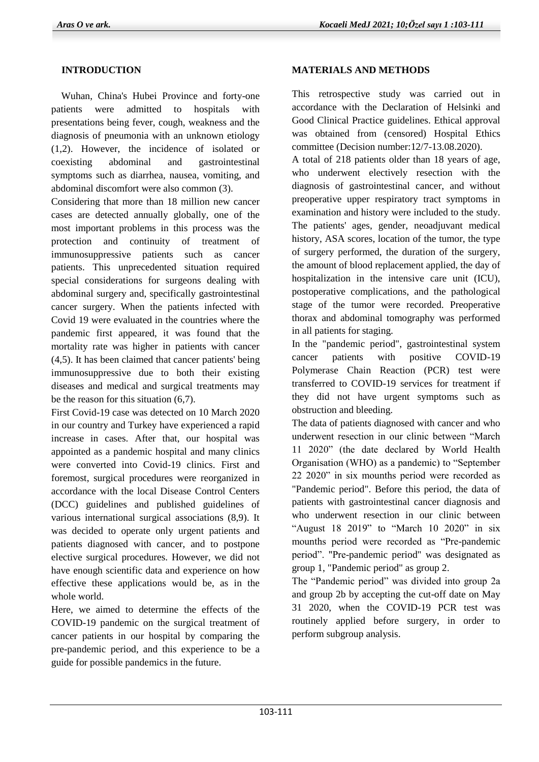## **INTRODUCTION**

 Wuhan, China's Hubei Province and forty-one patients were admitted to hospitals with presentations being fever, cough, weakness and the diagnosis of pneumonia with an unknown etiology (1,2). However, the incidence of isolated or coexisting abdominal and gastrointestinal symptoms such as diarrhea, nausea, vomiting, and abdominal discomfort were also common (3).

Considering that more than 18 million new cancer cases are detected annually globally, one of the most important problems in this process was the protection and continuity of treatment of immunosuppressive patients such as cancer patients. This unprecedented situation required special considerations for surgeons dealing with abdominal surgery and, specifically gastrointestinal cancer surgery. When the patients infected with Covid 19 were evaluated in the countries where the pandemic first appeared, it was found that the mortality rate was higher in patients with cancer (4,5). It has been claimed that cancer patients' being immunosuppressive due to both their existing diseases and medical and surgical treatments may be the reason for this situation (6,7).

First Covid-19 case was detected on 10 March 2020 in our country and Turkey have experienced a rapid increase in cases. After that, our hospital was appointed as a pandemic hospital and many clinics were converted into Covid-19 clinics. First and foremost, surgical procedures were reorganized in accordance with the local Disease Control Centers (DCC) guidelines and published guidelines of various international surgical associations (8,9). It was decided to operate only urgent patients and patients diagnosed with cancer, and to postpone elective surgical procedures. However, we did not have enough scientific data and experience on how effective these applications would be, as in the whole world.

Here, we aimed to determine the effects of the COVID-19 pandemic on the surgical treatment of cancer patients in our hospital by comparing the pre-pandemic period, and this experience to be a guide for possible pandemics in the future.

#### **MATERIALS AND METHODS**

This retrospective study was carried out in accordance with the Declaration of Helsinki and Good Clinical Practice guidelines. Ethical approval was obtained from (censored) Hospital Ethics committee (Decision number:12/7-13.08.2020).

A total of 218 patients older than 18 years of age, who underwent electively resection with the diagnosis of gastrointestinal cancer, and without preoperative upper respiratory tract symptoms in examination and history were included to the study. The patients' ages, gender, neoadjuvant medical history, ASA scores, location of the tumor, the type of surgery performed, the duration of the surgery, the amount of blood replacement applied, the day of hospitalization in the intensive care unit (ICU), postoperative complications, and the pathological stage of the tumor were recorded. Preoperative thorax and abdominal tomography was performed in all patients for staging.

In the "pandemic period", gastrointestinal system cancer patients with positive COVID-19 Polymerase Chain Reaction (PCR) test were transferred to COVID-19 services for treatment if they did not have urgent symptoms such as obstruction and bleeding.

The data of patients diagnosed with cancer and who underwent resection in our clinic between "March 11 2020" (the date declared by World Health Organisation (WHO) as a pandemic) to "September 22 2020" in six mounths period were recorded as "Pandemic period". Before this period, the data of patients with gastrointestinal cancer diagnosis and who underwent resection in our clinic between "August 18 2019" to "March 10 2020" in six mounths period were recorded as "Pre-pandemic period". "Pre-pandemic period" was designated as group 1, "Pandemic period" as group 2.

The "Pandemic period" was divided into group 2a and group 2b by accepting the cut-off date on May 31 2020, when the COVID-19 PCR test was routinely applied before surgery, in order to perform subgroup analysis.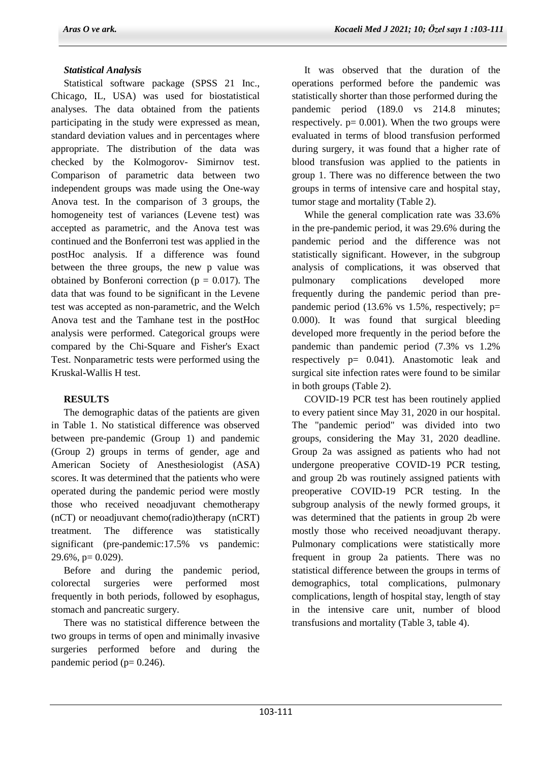# *Statistical Analysis*

 Statistical software package (SPSS 21 Inc., Chicago, IL, USA) was used for biostatistical analyses. The data obtained from the patients participating in the study were expressed as mean, standard deviation values and in percentages where appropriate. The distribution of the data was checked by the Kolmogorov- Simirnov test. Comparison of parametric data between two independent groups was made using the One-way Anova test. In the comparison of 3 groups, the homogeneity test of variances (Levene test) was accepted as parametric, and the Anova test was continued and the Bonferroni test was applied in the postHoc analysis. If a difference was found between the three groups, the new p value was obtained by Bonferoni correction ( $p = 0.017$ ). The data that was found to be significant in the Levene test was accepted as non-parametric, and the Welch Anova test and the Tamhane test in the postHoc analysis were performed. Categorical groups were compared by the Chi-Square and Fisher's Exact Test. Nonparametric tests were performed using the Kruskal-Wallis H test.

# **RESULTS**

 The demographic datas of the patients are given in Table 1. No statistical difference was observed between pre-pandemic (Group 1) and pandemic (Group 2) groups in terms of gender, age and American Society of Anesthesiologist (ASA) scores. It was determined that the patients who were operated during the pandemic period were mostly those who received neoadjuvant chemotherapy (nCT) or neoadjuvant chemo(radio)therapy (nCRT) treatment. The difference was statistically significant (pre-pandemic:17.5% vs pandemic:  $29.6\%$ , p= 0.029).

 Before and during the pandemic period, colorectal surgeries were performed most frequently in both periods, followed by esophagus, stomach and pancreatic surgery.

 There was no statistical difference between the two groups in terms of open and minimally invasive surgeries performed before and during the pandemic period ( $p= 0.246$ ).

 It was observed that the duration of the operations performed before the pandemic was statistically shorter than those performed during the pandemic period (189.0 vs 214.8 minutes; respectively.  $p = 0.001$ ). When the two groups were evaluated in terms of blood transfusion performed during surgery, it was found that a higher rate of blood transfusion was applied to the patients in group 1. There was no difference between the two groups in terms of intensive care and hospital stay, tumor stage and mortality (Table 2).

 While the general complication rate was 33.6% in the pre-pandemic period, it was 29.6% during the pandemic period and the difference was not statistically significant. However, in the subgroup analysis of complications, it was observed that pulmonary complications developed more frequently during the pandemic period than prepandemic period  $(13.6\% \text{ vs } 1.5\%$ , respectively; p= 0.000). It was found that surgical bleeding developed more frequently in the period before the pandemic than pandemic period (7.3% vs 1.2% respectively p= 0.041). Anastomotic leak and surgical site infection rates were found to be similar in both groups (Table 2).

 COVID-19 PCR test has been routinely applied to every patient since May 31, 2020 in our hospital. The "pandemic period" was divided into two groups, considering the May 31, 2020 deadline. Group 2a was assigned as patients who had not undergone preoperative COVID-19 PCR testing, and group 2b was routinely assigned patients with preoperative COVID-19 PCR testing. In the subgroup analysis of the newly formed groups, it was determined that the patients in group 2b were mostly those who received neoadjuvant therapy. Pulmonary complications were statistically more frequent in group 2a patients. There was no statistical difference between the groups in terms of demographics, total complications, pulmonary complications, length of hospital stay, length of stay in the intensive care unit, number of blood transfusions and mortality (Table 3, table 4).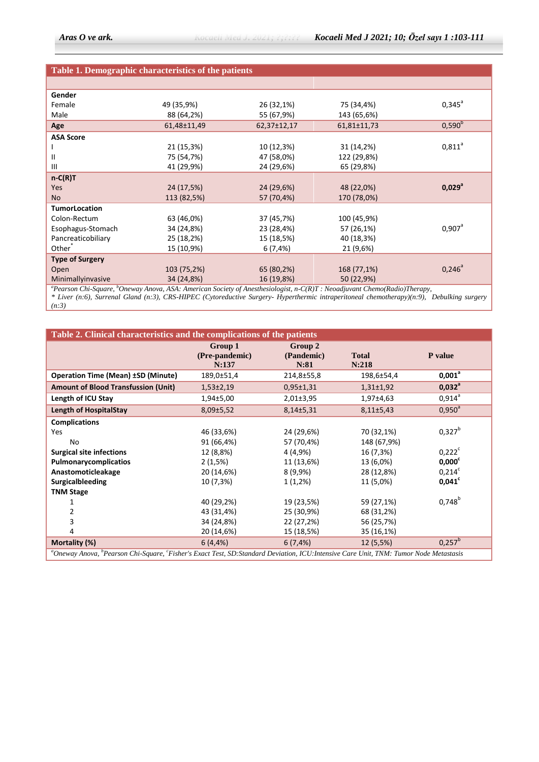#### **Table 1. Demographic characteristics of the patients**

| Gender                                                   |             |                                                                                                                                                                                                                                                                                                                                             |             |                 |
|----------------------------------------------------------|-------------|---------------------------------------------------------------------------------------------------------------------------------------------------------------------------------------------------------------------------------------------------------------------------------------------------------------------------------------------|-------------|-----------------|
| Female                                                   | 49 (35,9%)  | 26 (32,1%)                                                                                                                                                                                                                                                                                                                                  | 75 (34,4%)  | $0,345^{\circ}$ |
| Male                                                     | 88 (64,2%)  | 55 (67,9%)                                                                                                                                                                                                                                                                                                                                  | 143 (65,6%) |                 |
| Age                                                      | 61,48±11,49 | 62,37±12,17                                                                                                                                                                                                                                                                                                                                 | 61,81±11,73 | $0,590^b$       |
| <b>ASA Score</b>                                         |             |                                                                                                                                                                                                                                                                                                                                             |             |                 |
|                                                          | 21 (15,3%)  | 10 (12,3%)                                                                                                                                                                                                                                                                                                                                  | 31 (14,2%)  | $0,811^a$       |
| $\mathbf{II}$                                            | 75 (54,7%)  | 47 (58,0%)                                                                                                                                                                                                                                                                                                                                  | 122 (29,8%) |                 |
| $\mathbf{III}$                                           | 41 (29,9%)  | 24 (29,6%)                                                                                                                                                                                                                                                                                                                                  | 65 (29,8%)  |                 |
| $n-C(R)T$                                                |             |                                                                                                                                                                                                                                                                                                                                             |             |                 |
| <b>Yes</b>                                               | 24 (17,5%)  | 24 (29,6%)                                                                                                                                                                                                                                                                                                                                  | 48 (22,0%)  | $0,029^{\circ}$ |
| <b>No</b>                                                | 113 (82,5%) | 57 (70,4%)                                                                                                                                                                                                                                                                                                                                  | 170 (78,0%) |                 |
| <b>TumorLocation</b>                                     |             |                                                                                                                                                                                                                                                                                                                                             |             |                 |
| Colon-Rectum                                             | 63 (46,0%)  | 37 (45,7%)                                                                                                                                                                                                                                                                                                                                  | 100 (45,9%) |                 |
| Esophagus-Stomach                                        | 34 (24,8%)  | 23 (28,4%)                                                                                                                                                                                                                                                                                                                                  | 57 (26,1%)  | $0,907^{\circ}$ |
| Pancreaticobiliary                                       | 25 (18,2%)  | 15 (18,5%)                                                                                                                                                                                                                                                                                                                                  | 40 (18,3%)  |                 |
| Other <sup>®</sup>                                       | 15 (10,9%)  | $6(7, 4\%)$                                                                                                                                                                                                                                                                                                                                 | 21 (9,6%)   |                 |
| <b>Type of Surgery</b>                                   |             |                                                                                                                                                                                                                                                                                                                                             |             |                 |
| Open                                                     | 103 (75,2%) | 65 (80,2%)                                                                                                                                                                                                                                                                                                                                  | 168 (77,1%) | $0,246^{\circ}$ |
| Minimallyinvasive                                        | 34 (24,8%)  | 16 (19,8%)                                                                                                                                                                                                                                                                                                                                  | 50 (22,9%)  |                 |
| $h \cap$ $\longrightarrow$<br>$\alpha$ $\alpha$ $\alpha$ |             | $\mathcal{A} \cap \mathcal{A}$ , $\mathcal{A}$ , $\mathcal{A}$ , $\mathcal{A}$ , $\mathcal{A}$ , $\mathcal{A}$ , $\mathcal{A}$ , $\mathcal{A}$ , $\mathcal{A}$ , $\mathcal{A}$ , $\mathcal{A}$ , $\mathcal{A}$ , $\mathcal{A}$ , $\mathcal{A}$ , $\mathcal{A}$ , $\mathcal{A}$ , $\mathcal{A}$ , $\mathcal{A}$ , $\mathcal{A}$ , $\mathcal$ |             |                 |

*<sup>a</sup>Pearson Chi-Square, <sup>b</sup>Oneway Anova, ASA: American Society of Anesthesiologist, n-C(R)T : Neoadjuvant Chemo(Radio)Therapy,* 

*\* Liver (n:6), Surrenal Gland (n:3), CRS-HIPEC (Cytoreductive Surgery- Hyperthermic intraperitoneal chemotherapy)(n:9), Debulking surgery (n:3)*

| Table 2. Clinical characteristics and the complications of the patients                                                                          |                                    |                               |                       |                 |  |
|--------------------------------------------------------------------------------------------------------------------------------------------------|------------------------------------|-------------------------------|-----------------------|-----------------|--|
|                                                                                                                                                  | Group 1<br>(Pre-pandemic)<br>N:137 | Group 2<br>(Pandemic)<br>N:81 | <b>Total</b><br>N:218 | P value         |  |
| <b>Operation Time (Mean) ±SD (Minute)</b>                                                                                                        | 189,0±51,4                         | 214,8±55,8                    | 198,6±54,4            | $0,001^a$       |  |
| <b>Amount of Blood Transfussion (Unit)</b>                                                                                                       | $1,53\pm2,19$                      | $0,95 \pm 1,31$               | $1,31\pm1,92$         | $0,032^a$       |  |
| Length of ICU Stay                                                                                                                               | $1,94+5,00$                        | $2,01\pm3,95$                 | 1,97±4,63             | $0,914^{\circ}$ |  |
| <b>Length of HospitalStay</b>                                                                                                                    | 8,09±5,52                          | 8,14±5,31                     | $8,11\pm5,43$         | $0,950^{\circ}$ |  |
| <b>Complications</b>                                                                                                                             |                                    |                               |                       |                 |  |
| Yes                                                                                                                                              | 46 (33,6%)                         | 24 (29,6%)                    | 70 (32,1%)            | $0,327^b$       |  |
| No                                                                                                                                               | 91 (66,4%)                         | 57 (70,4%)                    | 148 (67,9%)           |                 |  |
| <b>Surgical site infections</b>                                                                                                                  | 12 (8,8%)                          | 4 (4,9%)                      | 16 (7,3%)             | $0,222^c$       |  |
| Pulmonarycomplicatios                                                                                                                            | 2(1,5%)                            | 11 (13,6%)                    | 13 (6,0%)             | $0,000^c$       |  |
| Anastomoticleakage                                                                                                                               | 20 (14,6%)                         | 8 (9,9%)                      | 28 (12,8%)            | $0,214^c$       |  |
| Surgicalbleeding                                                                                                                                 | 10 (7,3%)                          | $1(1,2\%)$                    | 11 (5,0%)             | $0,041^c$       |  |
| <b>TNM Stage</b>                                                                                                                                 |                                    |                               |                       |                 |  |
|                                                                                                                                                  | 40 (29,2%)                         | 19 (23,5%)                    | 59 (27,1%)            | $0,748^{b}$     |  |
| 2                                                                                                                                                | 43 (31,4%)                         | 25 (30,9%)                    | 68 (31,2%)            |                 |  |
| 3                                                                                                                                                | 34 (24,8%)                         | 22 (27,2%)                    | 56 (25,7%)            |                 |  |
| 4                                                                                                                                                | 20 (14,6%)                         | 15 (18,5%)                    | 35 (16,1%)            |                 |  |
| Mortality (%)                                                                                                                                    | $6(4, 4\%)$                        | $6(7, 4\%)$                   | 12 (5,5%)             | $0,257^b$       |  |
| "Oneway Anova, <sup>b</sup> Pearson Chi-Square, 'Fisher's Exact Test, SD:Standard Deviation, ICU:Intensive Care Unit, TNM: Tumor Node Metastasis |                                    |                               |                       |                 |  |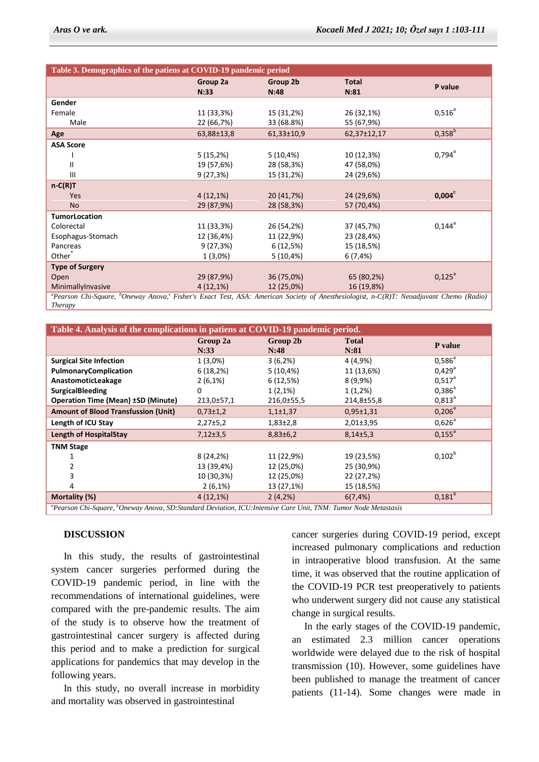| Table 3. Demographics of the patiens at COVID-19 pandemic period                                                                                                           |                  |                  |                      |                 |
|----------------------------------------------------------------------------------------------------------------------------------------------------------------------------|------------------|------------------|----------------------|-----------------|
|                                                                                                                                                                            | Group 2a<br>N:33 | Group 2b<br>N:48 | <b>Total</b><br>N:81 | P value         |
| Gender                                                                                                                                                                     |                  |                  |                      |                 |
| Female                                                                                                                                                                     | 11 (33,3%)       | 15 (31,2%)       | 26 (32,1%)           | $0,516^a$       |
| Male                                                                                                                                                                       | 22 (66,7%)       | 33 (68.8%)       | 55 (67,9%)           |                 |
| Age                                                                                                                                                                        | 63,88±13,8       | $61,33 \pm 10,9$ | 62,37±12,17          | $0,358^{b}$     |
| <b>ASA Score</b>                                                                                                                                                           |                  |                  |                      |                 |
|                                                                                                                                                                            | 5 (15,2%)        | 5(10,4%)         | 10 (12,3%)           | $0,794^{\circ}$ |
| Ш                                                                                                                                                                          | 19 (57,6%)       | 28 (58,3%)       | 47 (58,0%)           |                 |
| III                                                                                                                                                                        | 9(27,3%)         | 15 (31,2%)       | 24 (29,6%)           |                 |
| $n-C(R)T$                                                                                                                                                                  |                  |                  |                      |                 |
| <b>Yes</b>                                                                                                                                                                 | $4(12,1\%)$      | 20 (41,7%)       | 24 (29,6%)           | $0,004^c$       |
| <b>No</b>                                                                                                                                                                  | 29 (87,9%)       | 28 (58,3%)       | 57 (70,4%)           |                 |
| <b>TumorLocation</b>                                                                                                                                                       |                  |                  |                      |                 |
| Colorectal                                                                                                                                                                 | 11 (33,3%)       | 26 (54,2%)       | 37 (45,7%)           | $0,144^{\circ}$ |
| Esophagus-Stomach                                                                                                                                                          | 12 (36,4%)       | 11 (22,9%)       | 23 (28,4%)           |                 |
| Pancreas                                                                                                                                                                   | 9(27,3%)         | 6(12,5%)         | 15 (18,5%)           |                 |
| Other <sup>®</sup>                                                                                                                                                         | $1(3,0\%)$       | $5(10, 4\%)$     | $6(7, 4\%)$          |                 |
| <b>Type of Surgery</b>                                                                                                                                                     |                  |                  |                      |                 |
| Open                                                                                                                                                                       | 29 (87,9%)       | 36 (75,0%)       | 65 (80,2%)           | $0,125^a$       |
| MinimallyInvasive                                                                                                                                                          | $4(12,1\%)$      | 12 (25,0%)       | 16 (19,8%)           |                 |
| <sup>a</sup> Pearson Chi-Sauare, <sup>b</sup> Oneway Anova <sup>c</sup> Fisher's Fract Test, ASA: American Society of Anesthesiologist, n.C(R)T: Neoadjuvant Chemo (Radio) |                  |                  |                      |                 |

*<sup>a</sup>Pearson Chi-Square, <sup>b</sup>Oneway Anova,<sup>c</sup>Fisher's Exact Test, ASA: American Society of Anesthesiologist, n-C(R)T: Neoadjuvant Chemo (Radio) Therapy*

| Table 4. Analysis of the complications in patiens at COVID-19 pandemic period.                                                         |                  |                  |                      |                      |  |
|----------------------------------------------------------------------------------------------------------------------------------------|------------------|------------------|----------------------|----------------------|--|
|                                                                                                                                        | Group 2a<br>N:33 | Group 2b<br>N:48 | <b>Total</b><br>N:81 | P value              |  |
| <b>Surgical Site Infection</b>                                                                                                         | $1(3,0\%)$       | 3(6,2%)          | 4 (4,9%)             | $0,586^{\circ}$      |  |
| <b>PulmonaryComplication</b>                                                                                                           | 6(18,2%)         | $5(10, 4\%)$     | 11 (13,6%)           | $0,429$ <sup>a</sup> |  |
| AnastomoticLeakage                                                                                                                     | $2(6,1\%)$       | 6(12,5%)         | 8 (9,9%)             | $0,517^a$            |  |
| <b>SurgicalBleeding</b>                                                                                                                | 0                | $1(2,1\%)$       | $1(1,2\%)$           | $0,386^a$            |  |
| <b>Operation Time (Mean) ±SD (Minute)</b>                                                                                              | 213,0±57,1       | 216,0±55,5       | 214,8±55,8           | $0,813^{\circ}$      |  |
| <b>Amount of Blood Transfussion (Unit)</b>                                                                                             | $0,73\pm1,2$     | $1,1{\pm}1,37$   | $0.95 \pm 1.31$      | $0,206^a$            |  |
| Length of ICU Stay                                                                                                                     | 2,27±5,2         | $1,83\pm2,8$     | $2,01\pm3,95$        | $0,626^{\circ}$      |  |
| <b>Length of HospitalStay</b>                                                                                                          | $7,12\pm3.5$     | $8,83\pm 6,2$    | $8,14+5,3$           | $0,155^a$            |  |
| <b>TNM Stage</b>                                                                                                                       |                  |                  |                      |                      |  |
|                                                                                                                                        | 8 (24,2%)        | 11 (22,9%)       | 19 (23,5%)           | $0,102^b$            |  |
| 2                                                                                                                                      | 13 (39,4%)       | 12 (25,0%)       | 25 (30,9%)           |                      |  |
| 3                                                                                                                                      | 10 (30,3%)       | 12 (25,0%)       | 22 (27,2%)           |                      |  |
| 4                                                                                                                                      | $2(6,1\%)$       | 13 (27,1%)       | 15 (18,5%)           |                      |  |
| Mortality (%)                                                                                                                          | $4(12,1\%)$      | $2(4,2\%)$       | $6(7, 4\%)$          | $0,181^{b}$          |  |
| <sup>a</sup> Pearson Chi-Square, <sup>b</sup> Oneway Anova, SD:Standard Deviation, ICU:Intensive Care Unit, TNM: Tumor Node Metastasis |                  |                  |                      |                      |  |

#### **DISCUSSION**

 In this study, the results of gastrointestinal system cancer surgeries performed during the COVID-19 pandemic period, in line with the recommendations of international guidelines, were compared with the pre-pandemic results. The aim of the study is to observe how the treatment of gastrointestinal cancer surgery is affected during this period and to make a prediction for surgical applications for pandemics that may develop in the following years.

 In this study, no overall increase in morbidity and mortality was observed in gastrointestinal

cancer surgeries during COVID-19 period, except increased pulmonary complications and reduction in intraoperative blood transfusion. At the same time, it was observed that the routine application of the COVID-19 PCR test preoperatively to patients who underwent surgery did not cause any statistical change in surgical results.

 In the early stages of the COVID-19 pandemic, an estimated 2.3 million cancer operations worldwide were delayed due to the risk of hospital transmission (10). However, some guidelines have been published to manage the treatment of cancer patients (11-14). Some changes were made in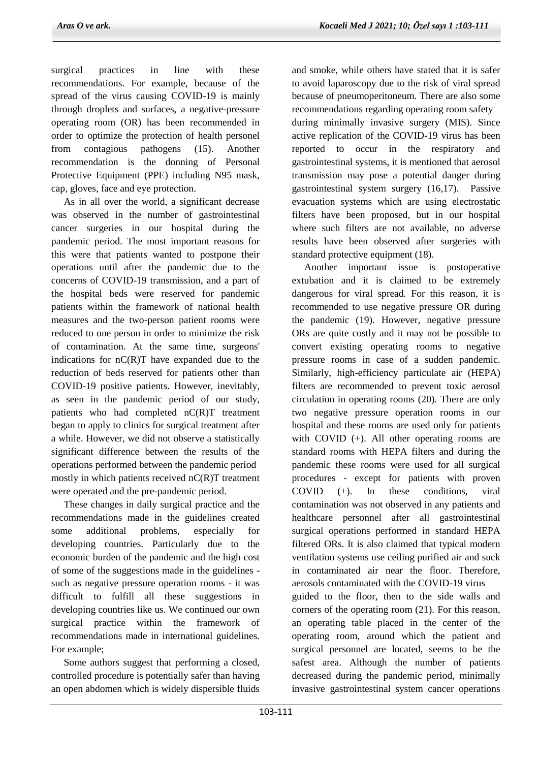surgical practices in line with these recommendations. For example, because of the spread of the virus causing COVID-19 is mainly through droplets and surfaces, a negative-pressure operating room (OR) has been recommended in order to optimize the protection of health personel from contagious pathogens (15). Another recommendation is the donning of Personal Protective Equipment (PPE) including N95 mask, cap, gloves, face and eye protection.

 As in all over the world, a significant decrease was observed in the number of gastrointestinal cancer surgeries in our hospital during the pandemic period. The most important reasons for this were that patients wanted to postpone their operations until after the pandemic due to the concerns of COVID-19 transmission, and a part of the hospital beds were reserved for pandemic patients within the framework of national health measures and the two-person patient rooms were reduced to one person in order to minimize the risk of contamination. At the same time, surgeons' indications for  $nC(R)T$  have expanded due to the reduction of beds reserved for patients other than COVID-19 positive patients. However, inevitably, as seen in the pandemic period of our study, patients who had completed nC(R)T treatment began to apply to clinics for surgical treatment after a while. However, we did not observe a statistically significant difference between the results of the operations performed between the pandemic period mostly in which patients received nC(R)T treatment were operated and the pre-pandemic period.

 These changes in daily surgical practice and the recommendations made in the guidelines created some additional problems, especially for developing countries. Particularly due to the economic burden of the pandemic and the high cost of some of the suggestions made in the guidelines such as negative pressure operation rooms - it was difficult to fulfill all these suggestions in developing countries like us. We continued our own surgical practice within the framework of recommendations made in international guidelines. For example;

 Some authors suggest that performing a closed, controlled procedure is potentially safer than having an open abdomen which is widely dispersible fluids and smoke, while others have stated that it is safer to avoid laparoscopy due to the risk of viral spread because of pneumoperitoneum. There are also some recommendations regarding operating room safety during minimally invasive surgery (MIS). Since active replication of the COVID-19 virus has been reported to occur in the respiratory and gastrointestinal systems, it is mentioned that aerosol transmission may pose a potential danger during gastrointestinal system surgery (16,17). Passive evacuation systems which are using electrostatic filters have been proposed, but in our hospital where such filters are not available, no adverse results have been observed after surgeries with standard protective equipment (18).

 Another important issue is postoperative extubation and it is claimed to be extremely dangerous for viral spread. For this reason, it is recommended to use negative pressure OR during the pandemic (19). However, negative pressure ORs are quite costly and it may not be possible to convert existing operating rooms to negative pressure rooms in case of a sudden pandemic. Similarly, high-efficiency particulate air (HEPA) filters are recommended to prevent toxic aerosol circulation in operating rooms (20). There are only two negative pressure operation rooms in our hospital and these rooms are used only for patients with COVID (+). All other operating rooms are standard rooms with HEPA filters and during the pandemic these rooms were used for all surgical procedures - except for patients with proven COVID (+). In these conditions, viral contamination was not observed in any patients and healthcare personnel after all gastrointestinal surgical operations performed in standard HEPA filtered ORs. It is also claimed that typical modern ventilation systems use ceiling purified air and suck in contaminated air near the floor. Therefore, aerosols contaminated with the COVID-19 virus guided to the floor, then to the side walls and corners of the operating room (21). For this reason, an operating table placed in the center of the operating room, around which the patient and surgical personnel are located, seems to be the safest area. Although the number of patients decreased during the pandemic period, minimally invasive gastrointestinal system cancer operations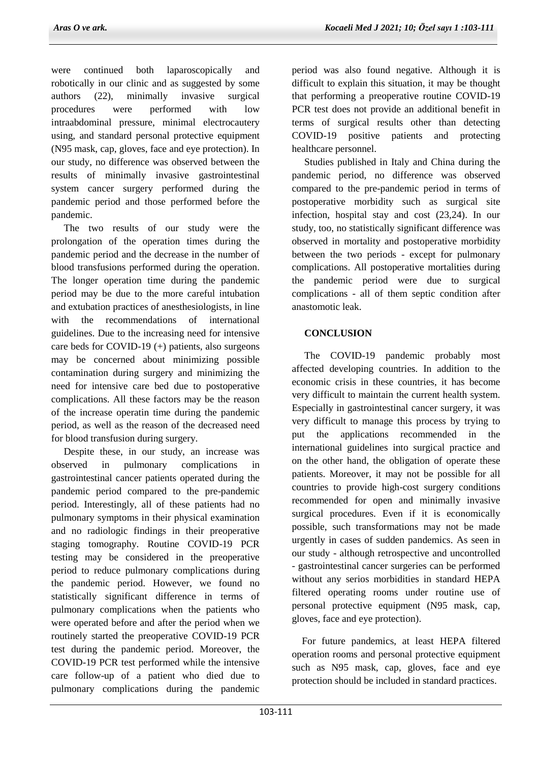were continued both laparoscopically and robotically in our clinic and as suggested by some authors (22), minimally invasive surgical procedures were performed with low intraabdominal pressure, minimal electrocautery using, and standard personal protective equipment (N95 mask, cap, gloves, face and eye protection). In our study, no difference was observed between the results of minimally invasive gastrointestinal system cancer surgery performed during the pandemic period and those performed before the pandemic.

 The two results of our study were the prolongation of the operation times during the pandemic period and the decrease in the number of blood transfusions performed during the operation. The longer operation time during the pandemic period may be due to the more careful intubation and extubation practices of anesthesiologists, in line with the recommendations of international guidelines. Due to the increasing need for intensive care beds for COVID-19 (+) patients, also surgeons may be concerned about minimizing possible contamination during surgery and minimizing the need for intensive care bed due to postoperative complications. All these factors may be the reason of the increase operatin time during the pandemic period, as well as the reason of the decreased need for blood transfusion during surgery.

 Despite these, in our study, an increase was observed in pulmonary complications in gastrointestinal cancer patients operated during the pandemic period compared to the pre-pandemic period. Interestingly, all of these patients had no pulmonary symptoms in their physical examination and no radiologic findings in their preoperative staging tomography. Routine COVID-19 PCR testing may be considered in the preoperative period to reduce pulmonary complications during the pandemic period. However, we found no statistically significant difference in terms of pulmonary complications when the patients who were operated before and after the period when we routinely started the preoperative COVID-19 PCR test during the pandemic period. Moreover, the COVID-19 PCR test performed while the intensive care follow-up of a patient who died due to pulmonary complications during the pandemic

period was also found negative. Although it is difficult to explain this situation, it may be thought that performing a preoperative routine COVID-19 PCR test does not provide an additional benefit in terms of surgical results other than detecting COVID-19 positive patients and protecting healthcare personnel.

 Studies published in Italy and China during the pandemic period, no difference was observed compared to the pre-pandemic period in terms of postoperative morbidity such as surgical site infection, hospital stay and cost (23,24). In our study, too, no statistically significant difference was observed in mortality and postoperative morbidity between the two periods - except for pulmonary complications. All postoperative mortalities during the pandemic period were due to surgical complications - all of them septic condition after anastomotic leak.

# **CONCLUSION**

 The COVID-19 pandemic probably most affected developing countries. In addition to the economic crisis in these countries, it has become very difficult to maintain the current health system. Especially in gastrointestinal cancer surgery, it was very difficult to manage this process by trying to put the applications recommended in the international guidelines into surgical practice and on the other hand, the obligation of operate these patients. Moreover, it may not be possible for all countries to provide high-cost surgery conditions recommended for open and minimally invasive surgical procedures. Even if it is economically possible, such transformations may not be made urgently in cases of sudden pandemics. As seen in our study - although retrospective and uncontrolled - gastrointestinal cancer surgeries can be performed without any serios morbidities in standard HEPA filtered operating rooms under routine use of personal protective equipment (N95 mask, cap, gloves, face and eye protection).

 For future pandemics, at least HEPA filtered operation rooms and personal protective equipment such as N95 mask, cap, gloves, face and eye protection should be included in standard practices.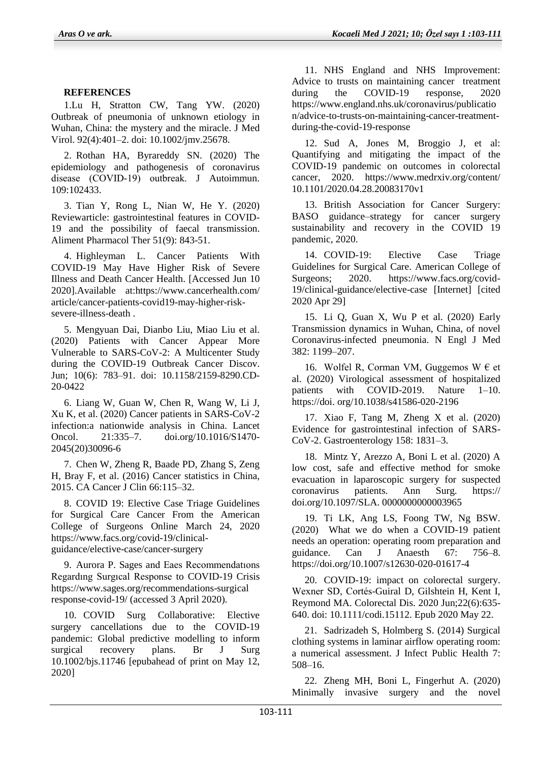### **REFERENCES**

1.Lu H, Stratton CW, Tang YW. (2020) Outbreak of pneumonia of unknown etiology in Wuhan, China: the mystery and the miracle. J Med Virol. 92(4):401–2. doi: 10.1002/jmv.25678.

2. Rothan HA, Byrareddy SN. (2020) The epidemiology and pathogenesis of coronavirus disease (COVID-19) outbreak. J Autoimmun. 109:102433.

3. Tian Y, Rong L, Nian W, He Y. (2020) Reviewarticle: gastrointestinal features in COVID-19 and the possibility of faecal transmission. Aliment Pharmacol Ther 51(9): 843-51.

4. Highleyman L. Cancer Patients With COVID-19 May Have Higher Risk of Severe Illness and Death Cancer Health. [Accessed Jun 10 2020].Available at:https://www.cancerhealth.com/ article/cancer-patients-covid19-may-higher-risksevere-illness-death .

5. Mengyuan Dai, Dianbo Liu, Miao Liu et al. (2020) Patients with Cancer Appear More Vulnerable to SARS-CoV-2: A Multicenter Study during the COVID-19 Outbreak Cancer Discov. Jun; 10(6): 783–91. doi: 10.1158/2159-8290.CD-20-0422

6. Liang W, Guan W, Chen R, Wang W, Li J, Xu K, et al. (2020) Cancer patients in SARS-CoV-2 infection:a nationwide analysis in China. Lancet Oncol. 21:335–7. doi.org/10.1016/S1470- 2045(20)30096-6

7. Chen W, Zheng R, Baade PD, Zhang S, Zeng H, Bray F, et al. (2016) Cancer statistics in China, 2015. CA Cancer J Clin 66:115–32.

8. COVID 19: Elective Case Triage Guidelines for Surgical Care Cancer From the American College of Surgeons Online March 24, 2020 https://www.facs.org/covid-19/clinicalguidance/elective-case/cancer-surgery

9. Aurora P. Sages and Eaes Recommendatıons Regardıng Surgıcal Response to COVID-19 Crisis <https://www.sages.org/recommendations-surgical> response-covid-19/ (accessed 3 April 2020).

10. COVID Surg Collaborative: Elective surgery cancellations due to the COVID-19 pandemic: Global predictive modelling to inform surgical recovery plans. Br J Surg 10.1002/bjs.11746 [epubahead of print on May 12, 2020]

11. NHS England and NHS Improvement: Advice to trusts on maintaining cancer treatment during the COVID-19 response, 2020 https://www.england.nhs.uk/coronavirus/publicatio n/advice-to-trusts-on-maintaining-cancer-treatmentduring-the-covid-19-response

12. Sud A, Jones M, Broggio J, et al: Quantifying and mitigating the impact of the COVID-19 pandemic on outcomes in colorectal cancer, 2020. <https://www.medrxiv.org/content/> 10.1101/2020.04.28.20083170v1

13. British Association for Cancer Surgery: BASO guidance–strategy for cancer surgery sustainability and recovery in the COVID 19 pandemic, 2020.

14. COVID-19: Elective Case Triage Guidelines for Surgical Care. American College of Surgeons; 2020. https://www.facs.org/covid-19/clinical-guidance/elective-case [Internet] [cited 2020 Apr 29]

15. Li Q, Guan X, Wu P et al. (2020) Early Transmission dynamics in Wuhan, China, of novel Coronavirus-infected pneumonia. N Engl J Med 382: 1199–207.

16. Wolfel R, Corman VM, Guggemos W  $\epsilon$  et al. (2020) Virological assessment of hospitalized patients with COVID-2019. Nature 1–10. https://doi. org/10.1038/s41586-020-2196

17. Xiao F, Tang M, Zheng X et al. (2020) Evidence for gastrointestinal infection of SARS-CoV-2. Gastroenterology 158: 1831–3.

18. Mintz Y, Arezzo A, Boni L et al. (2020) A low cost, safe and effective method for smoke evacuation in laparoscopic surgery for suspected coronavirus patients. Ann Surg. https:// doi.org/10.1097/SLA. 0000000000003965

19. Ti LK, Ang LS, Foong TW, Ng BSW. (2020) What we do when a COVID-19 patient needs an operation: operating room preparation and guidance. Can J Anaesth 67: 756–8. https://doi.org/10.1007/s12630-020-01617-4

20. COVID-19: impact on colorectal surgery. Wexner SD, Cortés-Guiral D, Gilshtein H, Kent I, Reymond MA. Colorectal Dis. 2020 Jun;22(6):635- 640. doi: 10.1111/codi.15112. Epub 2020 May 22.

21. Sadrizadeh S, Holmberg S. (2014) Surgical clothing systems in laminar airflow operating room: a numerical assessment. J Infect Public Health 7: 508–16.

22. Zheng MH, Boni L, Fingerhut A. (2020) Minimally invasive surgery and the novel